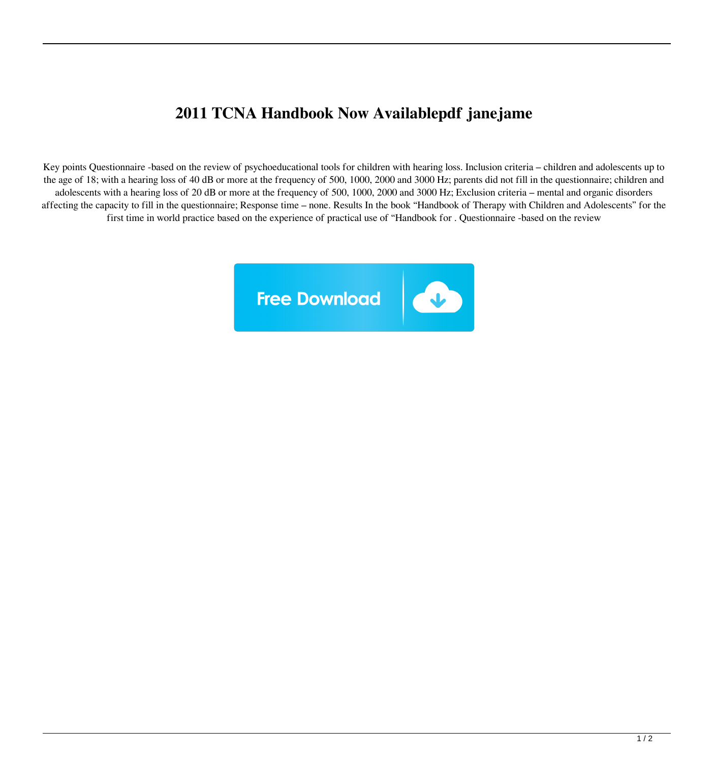## **2011 TCNA Handbook Now Availablepdf janejame**

Key points Questionnaire -based on the review of psychoeducational tools for children with hearing loss. Inclusion criteria – children and adolescents up to the age of 18; with a hearing loss of 40 dB or more at the frequency of 500, 1000, 2000 and 3000 Hz; parents did not fill in the questionnaire; children and adolescents with a hearing loss of 20 dB or more at the frequency of 500, 1000, 2000 and 3000 Hz; Exclusion criteria – mental and organic disorders affecting the capacity to fill in the questionnaire; Response time – none. Results In the book "Handbook of Therapy with Children and Adolescents" for the first time in world practice based on the experience of practical use of "Handbook for . Questionnaire -based on the review